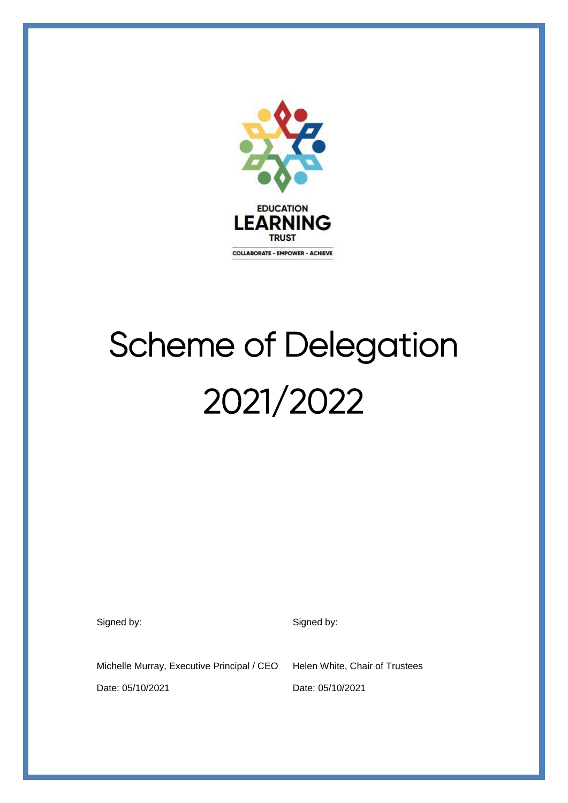

# Scheme of Delegation 2021/2022

Signed by: Signed by: Signed by:

Michelle Murray, Executive Principal / CEO Helen White, Chair of Trustees

Date: 05/10/2021 Date: 05/10/2021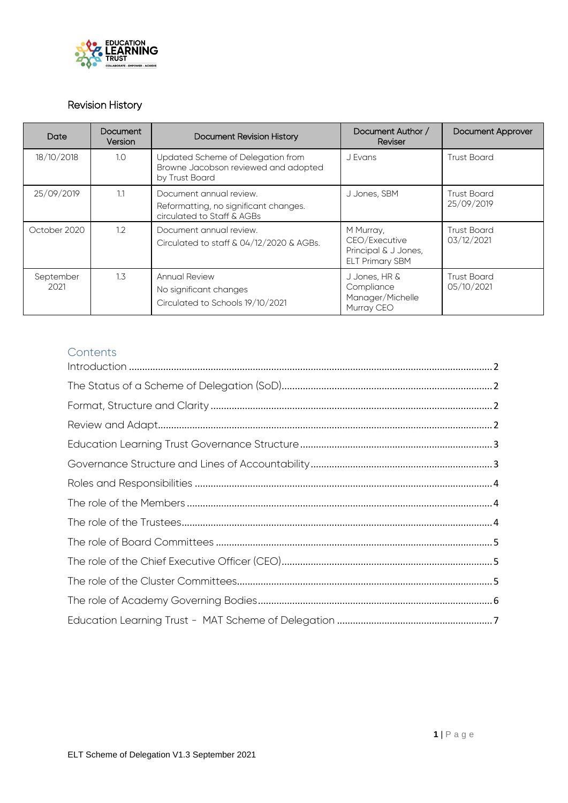

# Revision History

| Date              | <b>Document</b><br>Version | <b>Document Revision History</b>                                                               | Document Author /<br>Reviser                                                 | <b>Document Approver</b>         |
|-------------------|----------------------------|------------------------------------------------------------------------------------------------|------------------------------------------------------------------------------|----------------------------------|
| 18/10/2018        | 1.0                        | Updated Scheme of Delegation from<br>Browne Jacobson reviewed and adopted<br>by Trust Board    | J Evans                                                                      | <b>Trust Board</b>               |
| 25/09/2019        | 1.1                        | Document annual review.<br>Reformatting, no significant changes.<br>circulated to Staff & AGBs | J Jones, SBM                                                                 | <b>Trust Board</b><br>25/09/2019 |
| October 2020      | 1.2                        | Document annual review.<br>Circulated to staff & 04/12/2020 & AGBs.                            | M Murray,<br>CEO/Executive<br>Principal & J Jones,<br><b>ELT Primary SBM</b> | <b>Trust Board</b><br>03/12/2021 |
| September<br>2021 | 1.3                        | <b>Annual Review</b><br>No significant changes<br>Circulated to Schools 19/10/2021             | J Jones, HR &<br>Compliance<br>Manager/Michelle<br>Murray CEO                | <b>Trust Board</b><br>05/10/2021 |

# **Contents**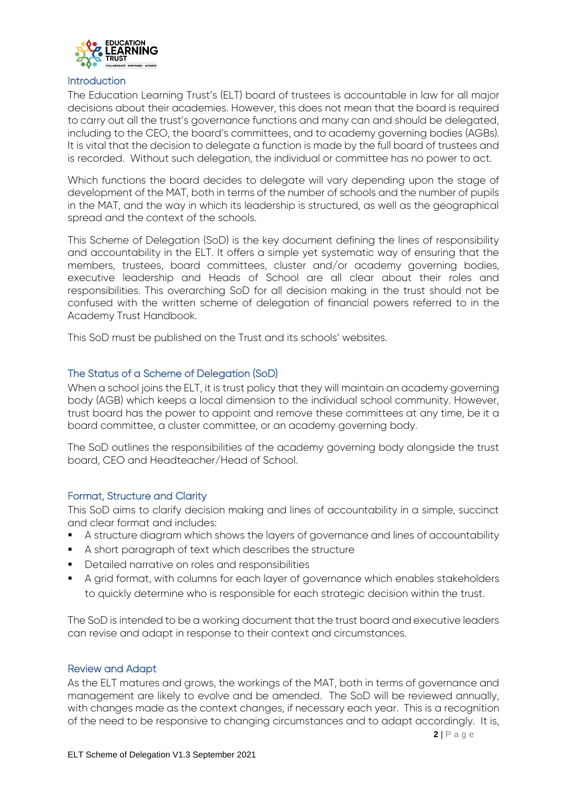

#### <span id="page-2-0"></span>**Introduction**

The Education Learning Trust's (ELT) board of trustees is accountable in law for all major decisions about their academies. However, this does not mean that the board is required to carry out all the trust's governance functions and many can and should be delegated, including to the CEO, the board's committees, and to academy governing bodies (AGBs). It is vital that the decision to delegate a function is made by the full board of trustees and is recorded. Without such delegation, the individual or committee has no power to act.

Which functions the board decides to delegate will vary depending upon the stage of development of the MAT, both in terms of the number of schools and the number of pupils in the MAT, and the way in which its leadership is structured, as well as the geographical spread and the context of the schools.

This Scheme of Delegation (SoD) is the key document defining the lines of responsibility and accountability in the ELT. It offers a simple yet systematic way of ensuring that the members, trustees, board committees, cluster and/or academy governing bodies, executive leadership and Heads of School are all clear about their roles and responsibilities. This overarching SoD for all decision making in the trust should not be confused with the written scheme of delegation of financial powers referred to in the Academy Trust Handbook.

This SoD must be published on the Trust and its schools' websites.

#### <span id="page-2-1"></span>The Status of a Scheme of Delegation (SoD)

When a school joins the ELT, it is trust policy that they will maintain an academy governing body (AGB) which keeps a local dimension to the individual school community. However, trust board has the power to appoint and remove these committees at any time, be it a board committee, a cluster committee, or an academy governing body.

The SoD outlines the responsibilities of the academy governing body alongside the trust board, CEO and Headteacher/Head of School.

#### <span id="page-2-2"></span>Format, Structure and Clarity

This SoD aims to clarify decision making and lines of accountability in a simple, succinct and clear format and includes:

- A structure diagram which shows the layers of governance and lines of accountability
- A short paragraph of text which describes the structure
- Detailed narrative on roles and responsibilities
- A grid format, with columns for each layer of governance which enables stakeholders to quickly determine who is responsible for each strategic decision within the trust.

The SoD is intended to be a working document that the trust board and executive leaders can revise and adapt in response to their context and circumstances.

#### <span id="page-2-3"></span>Review and Adapt

As the ELT matures and grows, the workings of the MAT, both in terms of governance and management are likely to evolve and be amended. The SoD will be reviewed annually, with changes made as the context changes, if necessary each year. This is a recognition of the need to be responsive to changing circumstances and to adapt accordingly. It is,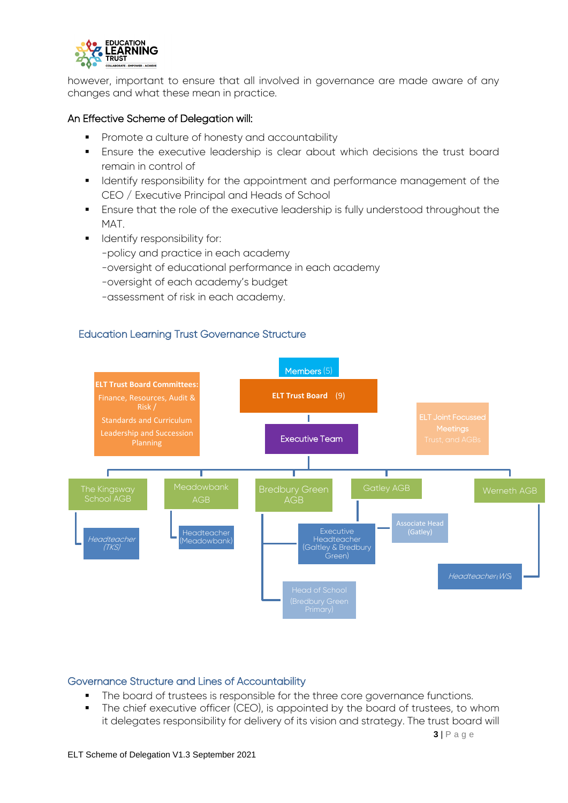

however, important to ensure that all involved in governance are made aware of any changes and what these mean in practice.

#### An Effective Scheme of Delegation will:

- **Promote a culture of honesty and accountability**
- **Ensure the executive leadership is clear about which decisions the trust board** remain in control of
- **If all identify responsibility for the appointment and performance management of the** CEO / Executive Principal and Heads of School
- Ensure that the role of the executive leadership is fully understood throughout the MAT.
- **IDENTIFY responsibility for:** 
	- -policy and practice in each academy
	- -oversight of educational performance in each academy
	- -oversight of each academy's budget
	- -assessment of risk in each academy.

## <span id="page-3-0"></span>Education Learning Trust Governance Structure



#### <span id="page-3-1"></span>Governance Structure and Lines of Accountability

- The board of trustees is responsible for the three core governance functions.
- The chief executive officer (CEO), is appointed by the board of trustees, to whom it delegates responsibility for delivery of its vision and strategy. The trust board will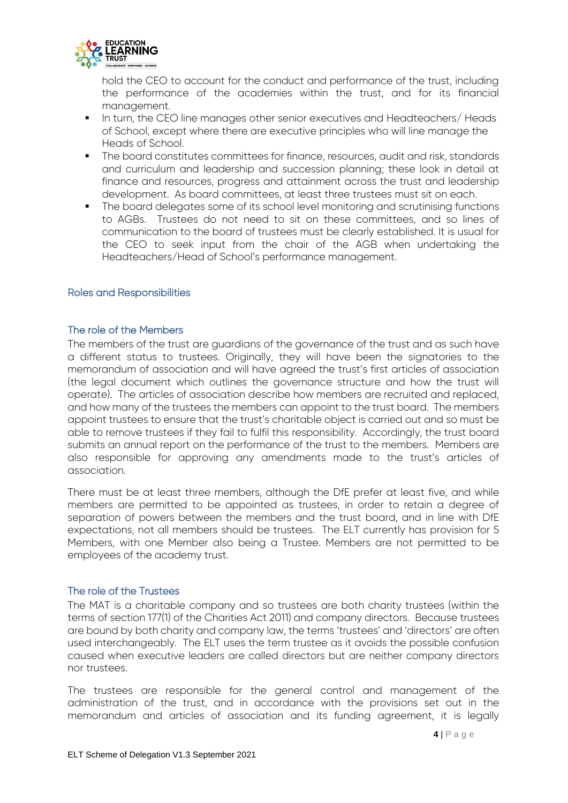

hold the CEO to account for the conduct and performance of the trust, including the performance of the academies within the trust, and for its financial management.

- **IF** In turn, the CEO line manages other senior executives and Headteachers/ Heads of School, except where there are executive principles who will line manage the Heads of School.
- The board constitutes committees for finance, resources, audit and risk, standards and curriculum and leadership and succession planning; these look in detail at finance and resources, progress and attainment across the trust and leadership development. As board committees, at least three trustees must sit on each.
- The board delegates some of its school level monitoring and scrutinising functions to AGBs. Trustees do not need to sit on these committees, and so lines of communication to the board of trustees must be clearly established. It is usual for the CEO to seek input from the chair of the AGB when undertaking the Headteachers/Head of School's performance management.

#### <span id="page-4-1"></span><span id="page-4-0"></span>Roles and Responsibilities

#### The role of the Members

The members of the trust are guardians of the governance of the trust and as such have a different status to trustees. Originally, they will have been the signatories to the memorandum of association and will have agreed the trust's first articles of association (the legal document which outlines the governance structure and how the trust will operate). The articles of association describe how members are recruited and replaced, and how many of the trustees the members can appoint to the trust board. The members appoint trustees to ensure that the trust's charitable object is carried out and so must be able to remove trustees if they fail to fulfil this responsibility. Accordingly, the trust board submits an annual report on the performance of the trust to the members. Members are also responsible for approving any amendments made to the trust's articles of association.

There must be at least three members, although the DfE prefer at least five, and while members are permitted to be appointed as trustees, in order to retain a degree of separation of powers between the members and the trust board, and in line with DfE expectations, not all members should be trustees. The ELT currently has provision for 5 Members, with one Member also being a Trustee. Members are not permitted to be employees of the academy trust.

#### <span id="page-4-2"></span>The role of the Trustees

The MAT is a charitable company and so trustees are both charity trustees (within the terms of section 177(1) of the Charities Act 2011) and company directors. Because trustees are bound by both charity and company law, the terms 'trustees' and 'directors' are often used interchangeably. The ELT uses the term trustee as it avoids the possible confusion caused when executive leaders are called directors but are neither company directors nor trustees.

The trustees are responsible for the general control and management of the administration of the trust, and in accordance with the provisions set out in the memorandum and articles of association and its funding agreement, it is legally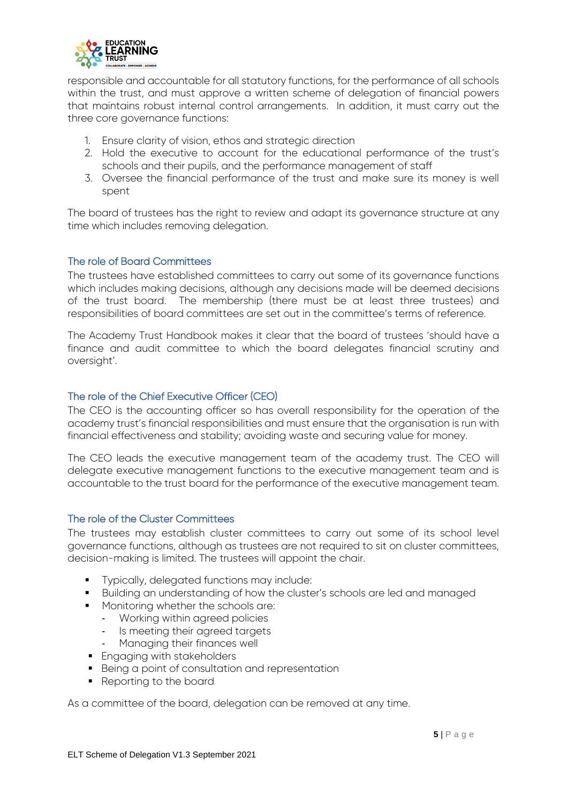

responsible and accountable for all statutory functions, for the performance of all schools within the trust, and must approve a written scheme of delegation of financial powers that maintains robust internal control arrangements. In addition, it must carry out the three core governance functions:

- 1. Ensure clarity of vision, ethos and strategic direction
- 2. Hold the executive to account for the educational performance of the trust's schools and their pupils, and the performance management of staff
- 3. Oversee the financial performance of the trust and make sure its money is well spent

The board of trustees has the right to review and adapt its governance structure at any time which includes removing delegation.

#### <span id="page-5-0"></span>The role of Board Committees

The trustees have established committees to carry out some of its governance functions which includes making decisions, although any decisions made will be deemed decisions of the trust board. The membership (there must be at least three trustees) and responsibilities of board committees are set out in the committee's terms of reference.

The Academy Trust Handbook makes it clear that the board of trustees 'should have a finance and audit committee to which the board delegates financial scrutiny and oversight'.

## <span id="page-5-1"></span>The role of the Chief Executive Officer (CEO)

The CEO is the accounting officer so has overall responsibility for the operation of the academy trust's financial responsibilities and must ensure that the organisation is run with financial effectiveness and stability; avoiding waste and securing value for money.

The CEO leads the executive management team of the academy trust. The CEO will delegate executive management functions to the executive management team and is accountable to the trust board for the performance of the executive management team.

## <span id="page-5-2"></span>The role of the Cluster Committees

The trustees may establish cluster committees to carry out some of its school level governance functions, although as trustees are not required to sit on cluster committees, decision-making is limited. The trustees will appoint the chair.

- **Typically, delegated functions may include:**
- Building an understanding of how the cluster's schools are led and managed
- **Monitoring whether the schools are:** 
	- Working within agreed policies
	- Is meeting their agreed targets
	- Managing their finances well
- **Engaging with stakeholders**
- **Being a point of consultation and representation**
- Reporting to the board

As a committee of the board, delegation can be removed at any time.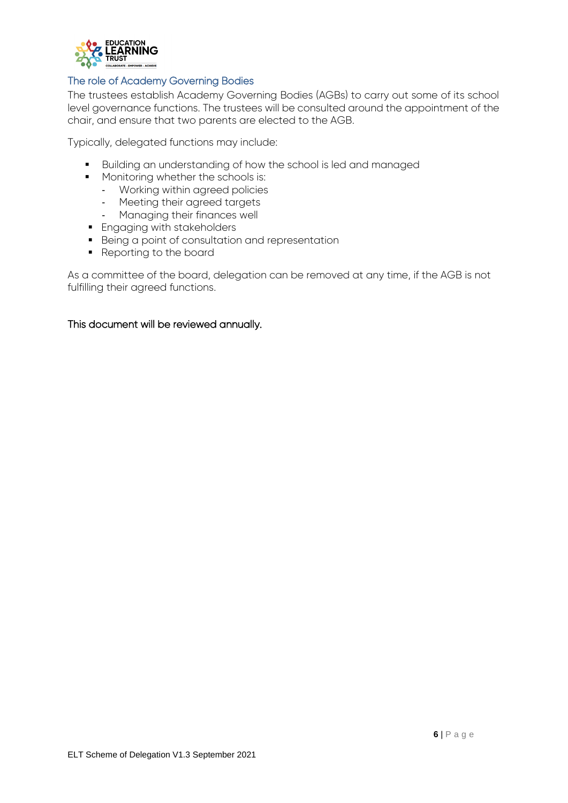

#### <span id="page-6-0"></span>The role of Academy Governing Bodies

The trustees establish Academy Governing Bodies (AGBs) to carry out some of its school level governance functions. The trustees will be consulted around the appointment of the chair, and ensure that two parents are elected to the AGB.

Typically, delegated functions may include:

- Building an understanding of how the school is led and managed
- **Monitoring whether the schools is:** 
	- Working within agreed policies
	- Meeting their agreed targets
	- Managing their finances well
- **Engaging with stakeholders**
- **Being a point of consultation and representation**
- Reporting to the board

As a committee of the board, delegation can be removed at any time, if the AGB is not fulfilling their agreed functions.

#### This document will be reviewed annually.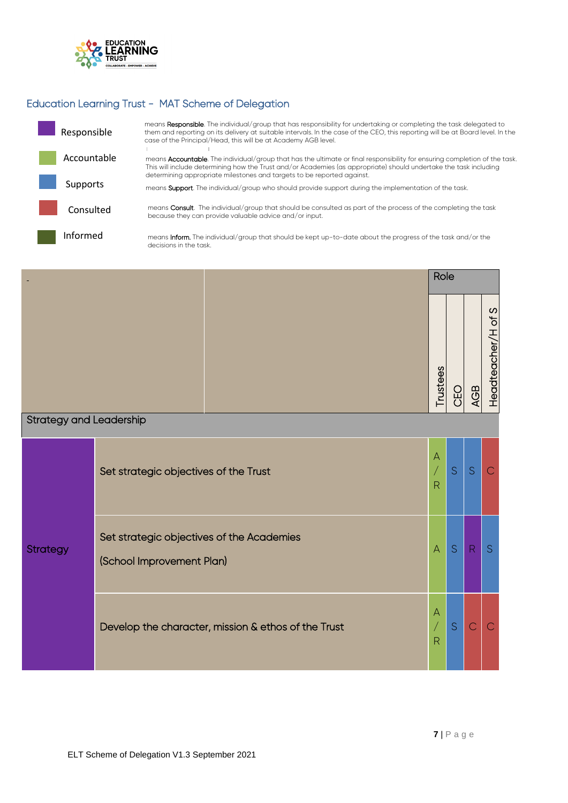

# <span id="page-7-0"></span>Education Learning Trust - MAT Scheme of Delegation

| Responsible | means Responsible. The individual/group that has responsibility for undertaking or completing the task delegated to<br>them and reporting on its delivery at suitable intervals. In the case of the CEO, this reporting will be at Board level. In the<br>case of the Principal/Head, this will be at Academy AGB level.          |
|-------------|-----------------------------------------------------------------------------------------------------------------------------------------------------------------------------------------------------------------------------------------------------------------------------------------------------------------------------------|
| Accountable | means <b>Accountable</b> . The individual/group that has the ultimate or final responsibility for ensuring completion of the task.<br>This will include determining how the Trust and/or Academies (as appropriate) should undertake the task including<br>determining appropriate milestones and targets to be reported against. |
| Supports    | means <b>Support</b> . The individual/group who should provide support during the implementation of the task.                                                                                                                                                                                                                     |
| Consulted   | means Consult. The individual/group that should be consulted as part of the process of the completing the task<br>because they can provide valuable advice and/or input.                                                                                                                                                          |
| Informed    | means <b>Inform.</b> The individual/group that should be kept up-to-date about the progress of the task and/or the<br>decisions in the task.                                                                                                                                                                                      |

|                                |                                                                        | Role                                           |     |                |                    |
|--------------------------------|------------------------------------------------------------------------|------------------------------------------------|-----|----------------|--------------------|
|                                |                                                                        | Trustees                                       | CEO | <b>AGB</b>     | Headteacher/H of S |
| <b>Strategy and Leadership</b> |                                                                        |                                                |     |                |                    |
| <b>Strategy</b>                | Set strategic objectives of the Trust                                  | $\overline{A}$<br>$\sqrt{2}$<br>$\overline{R}$ | S   | S              | C                  |
|                                | Set strategic objectives of the Academies<br>(School Improvement Plan) | $\overline{A}$                                 | S   | R              | S                  |
|                                | Develop the character, mission & ethos of the Trust                    | $\overline{A}$<br>$\sqrt{}$<br>$\overline{R}$  | S   | $\overline{C}$ | $\overline{C}$     |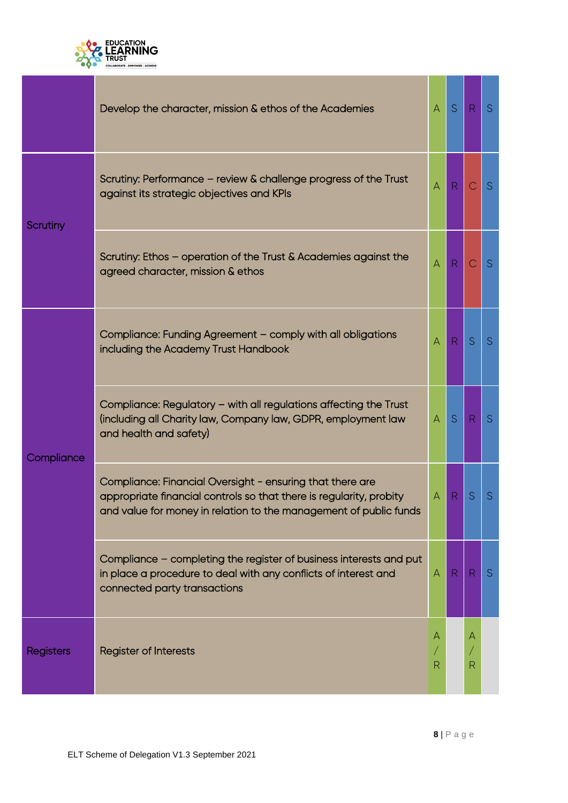

|                  | Develop the character, mission & ethos of the Academies                                                                                                                                               | $\overline{A}$ | S            | R            | <sub>S</sub> |
|------------------|-------------------------------------------------------------------------------------------------------------------------------------------------------------------------------------------------------|----------------|--------------|--------------|--------------|
| Scrutiny         | Scrutiny: Performance - review & challenge progress of the Trust<br>against its strategic objectives and KPIs                                                                                         | $\forall$      | R            | С            | S            |
|                  | Scrutiny: Ethos - operation of the Trust & Academies against the<br>agreed character, mission & ethos                                                                                                 | $\bigwedge$    | $\mathsf{R}$ | С            | S            |
| Compliance       | Compliance: Funding Agreement - comply with all obligations<br>including the Academy Trust Handbook                                                                                                   | $\bigwedge$    | R            | S            | <sub>S</sub> |
|                  | Compliance: Regulatory - with all regulations affecting the Trust<br>(including all Charity law, Company law, GDPR, employment law<br>and health and safety)                                          | $\mathsf{A}$   | S            | R            | S            |
|                  | Compliance: Financial Oversight - ensuring that there are<br>appropriate financial controls so that there is regularity, probity<br>and value for money in relation to the management of public funds | A              | R            | S            | S            |
|                  | Compliance - completing the register of business interests and put<br>in place a procedure to deal with any conflicts of interest and<br>connected party transactions                                 | A              | R            | $\mathsf{R}$ | <sub>S</sub> |
| <b>Registers</b> | <b>Register of Interests</b>                                                                                                                                                                          | А<br>R         |              |              |              |

m.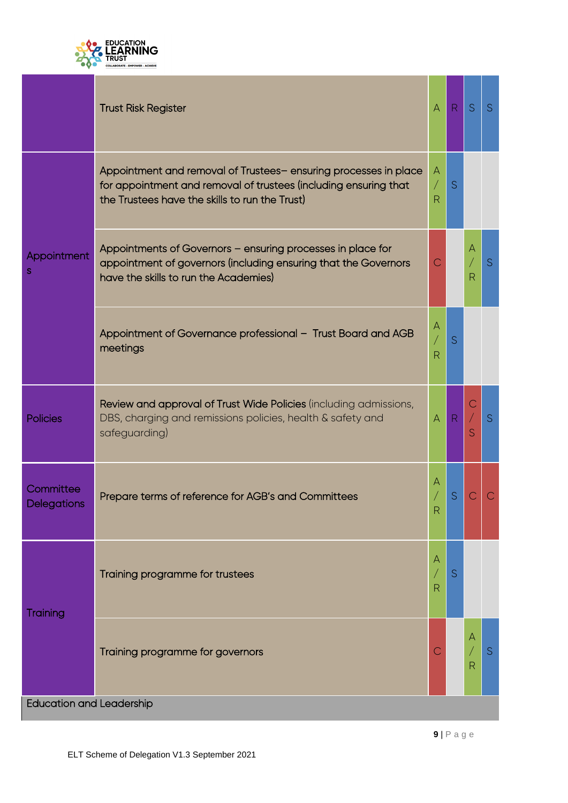

|                                 | <b>Trust Risk Register</b>                                                                                                                                                            | A                      | R         | S           | S.          |  |  |  |
|---------------------------------|---------------------------------------------------------------------------------------------------------------------------------------------------------------------------------------|------------------------|-----------|-------------|-------------|--|--|--|
| Appointment<br>S                | Appointment and removal of Trustees-ensuring processes in place<br>for appointment and removal of trustees (including ensuring that<br>the Trustees have the skills to run the Trust) | $\mathsf{A}$<br>Т<br>R | S         |             |             |  |  |  |
|                                 | Appointments of Governors - ensuring processes in place for<br>appointment of governors (including ensuring that the Governors<br>have the skills to run the Academies)               | С                      |           | Α<br>R      | S           |  |  |  |
|                                 | Appointment of Governance professional - Trust Board and AGB<br>meetings                                                                                                              | A<br>R                 | S         |             |             |  |  |  |
| <b>Policies</b>                 | Review and approval of Trust Wide Policies (including admissions,<br>DBS, charging and remissions policies, health & safety and<br>safeguarding)                                      | A                      | ${\sf R}$ | С<br>/<br>S | $\mathsf S$ |  |  |  |
| Committee<br>Delegations        | Prepare terms of reference for AGB's and Committees                                                                                                                                   | Α<br>R                 | S         |             |             |  |  |  |
| Training                        | Training programme for trustees                                                                                                                                                       | A<br>R                 | S         |             |             |  |  |  |
|                                 | Training programme for governors                                                                                                                                                      |                        |           | А<br>R      | S           |  |  |  |
| <b>Education and Leadership</b> |                                                                                                                                                                                       |                        |           |             |             |  |  |  |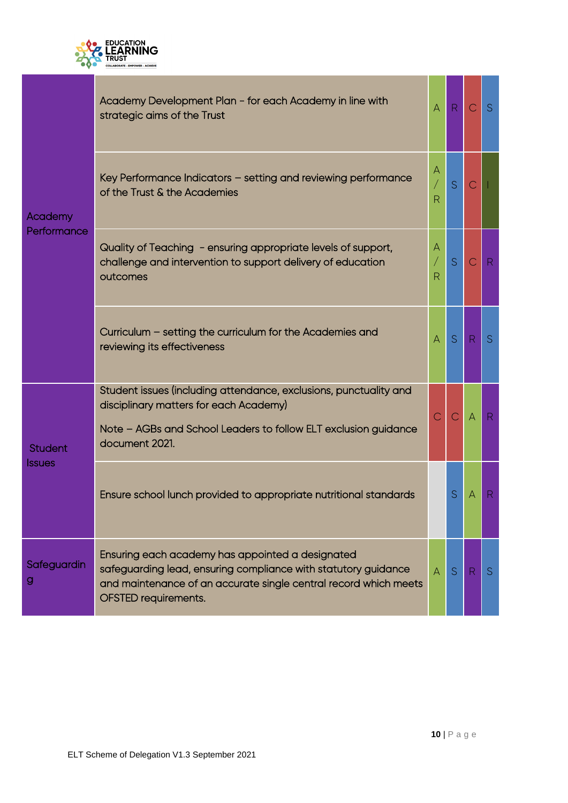

| Academy<br>Performance          | Academy Development Plan - for each Academy in line with<br>strategic aims of the Trust                                                                                                                               | $\overline{A}$           | $\mathsf R$ | $\mathsf{C}$ | S            |
|---------------------------------|-----------------------------------------------------------------------------------------------------------------------------------------------------------------------------------------------------------------------|--------------------------|-------------|--------------|--------------|
|                                 | Key Performance Indicators - setting and reviewing performance<br>of the Trust & the Academies                                                                                                                        | A<br>/<br>$\overline{R}$ | S           | $\mathbb C$  |              |
|                                 | Quality of Teaching - ensuring appropriate levels of support,<br>challenge and intervention to support delivery of education<br>outcomes                                                                              | A<br>/<br>R              | S           | $\mathsf{C}$ | $\mathsf{R}$ |
|                                 | Curriculum - setting the curriculum for the Academies and<br>reviewing its effectiveness                                                                                                                              | $\overline{A}$           | S           | R            | S.           |
| <b>Student</b><br><b>Issues</b> | Student issues (including attendance, exclusions, punctuality and<br>disciplinary matters for each Academy)<br>Note - AGBs and School Leaders to follow ELT exclusion guidance<br>document 2021.                      | $\overline{C}$           | C           | $\forall$    | ${\sf R}$    |
|                                 | Ensure school lunch provided to appropriate nutritional standards                                                                                                                                                     |                          | S           | А            | R            |
| Safeguardin<br>g                | Ensuring each academy has appointed a designated<br>safeguarding lead, ensuring compliance with statutory guidance<br>and maintenance of an accurate single central record which meets<br><b>OFSTED requirements.</b> | $\Delta$                 | S           | R            | <sub>S</sub> |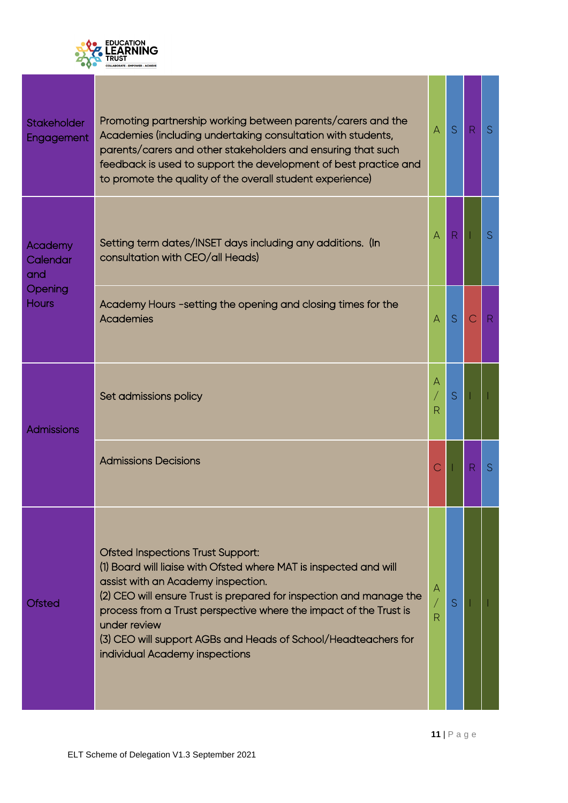

| <b>Stakeholder</b><br>Engagement                      | Promoting partnership working between parents/carers and the<br>Academies (including undertaking consultation with students,<br>parents/carers and other stakeholders and ensuring that such<br>feedback is used to support the development of best practice and<br>to promote the quality of the overall student experience)                                                                                       | $\overline{A}$    | S            | R. | S |
|-------------------------------------------------------|---------------------------------------------------------------------------------------------------------------------------------------------------------------------------------------------------------------------------------------------------------------------------------------------------------------------------------------------------------------------------------------------------------------------|-------------------|--------------|----|---|
| Academy<br>Calendar<br>and<br>Opening<br><b>Hours</b> | Setting term dates/INSET days including any additions. (In<br>consultation with CEO/all Heads)                                                                                                                                                                                                                                                                                                                      | $\mathsf{A}$      | $\mathsf{R}$ |    | S |
|                                                       | Academy Hours -setting the opening and closing times for the<br><b>Academies</b>                                                                                                                                                                                                                                                                                                                                    | $\overline{A}$    | S            | C  | R |
| <b>Admissions</b>                                     | Set admissions policy                                                                                                                                                                                                                                                                                                                                                                                               | A<br>R            | S            |    |   |
|                                                       | <b>Admissions Decisions</b>                                                                                                                                                                                                                                                                                                                                                                                         | Ć                 |              | R  | S |
| <b>Ofsted</b>                                         | <b>Ofsted Inspections Trust Support:</b><br>(1) Board will liaise with Ofsted where MAT is inspected and will<br>assist with an Academy inspection.<br>(2) CEO will ensure Trust is prepared for inspection and manage the<br>process from a Trust perspective where the impact of the Trust is<br>under review<br>(3) CEO will support AGBs and Heads of School/Headteachers for<br>individual Academy inspections | A<br>$\mathsf{R}$ | S            |    |   |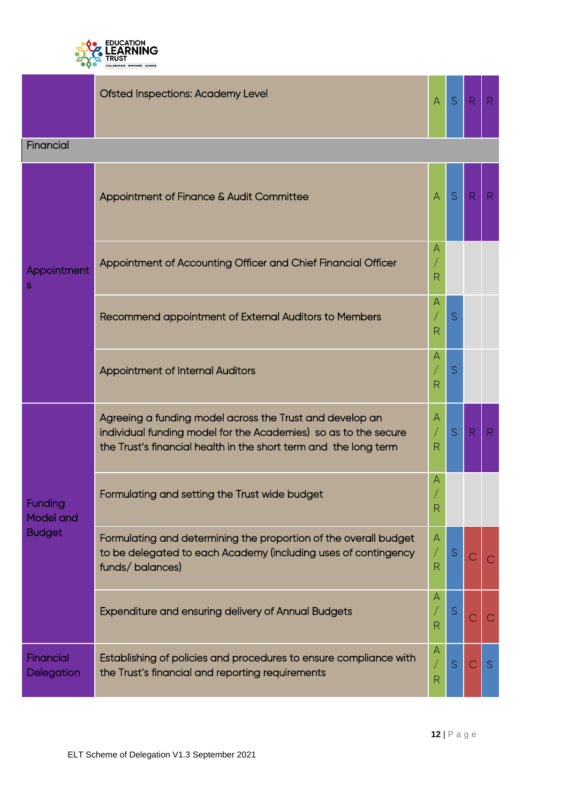

|                                    | <b>Ofsted Inspections: Academy Level</b>                                                                                                                                                        | $\mathsf{A}$           | S           | R             | $\mathsf{R}$ |
|------------------------------------|-------------------------------------------------------------------------------------------------------------------------------------------------------------------------------------------------|------------------------|-------------|---------------|--------------|
| Financial                          |                                                                                                                                                                                                 |                        |             |               |              |
|                                    | Appointment of Finance & Audit Committee                                                                                                                                                        | $\overline{A}$         | S           | $\mathsf{R}$  | R            |
| Appointment<br>S                   | Appointment of Accounting Officer and Chief Financial Officer                                                                                                                                   | A<br>R                 |             |               |              |
|                                    | Recommend appointment of External Auditors to Members                                                                                                                                           | Α<br>R                 | S           |               |              |
|                                    | <b>Appointment of Internal Auditors</b>                                                                                                                                                         | Α<br>R                 | S           |               |              |
|                                    | Agreeing a funding model across the Trust and develop an<br>individual funding model for the Academies) so as to the secure<br>the Trust's financial health in the short term and the long term | A<br>$\sqrt{2}$<br>R   | S           | $\mathsf{R}$  | $\mathsf{R}$ |
| <b>Funding</b><br><b>Model and</b> | Formulating and setting the Trust wide budget                                                                                                                                                   | Α<br>$\mathsf{R}$      |             |               |              |
| <b>Budget</b>                      | Formulating and determining the proportion of the overall budget<br>to be delegated to each Academy (including uses of contingency<br>funds/balances)                                           | A<br>Γ<br>$\mathsf{R}$ | S           | C             | $\mathsf{C}$ |
|                                    | Expenditure and ensuring delivery of Annual Budgets                                                                                                                                             | Α<br>R                 | $\mathsf S$ | $\mathcal{C}$ | С            |
| Financial<br>Delegation            | Establishing of policies and procedures to ensure compliance with<br>the Trust's financial and reporting requirements                                                                           | A<br>$\mathsf{R}$      | S           | $\mathbb{C}$  | S            |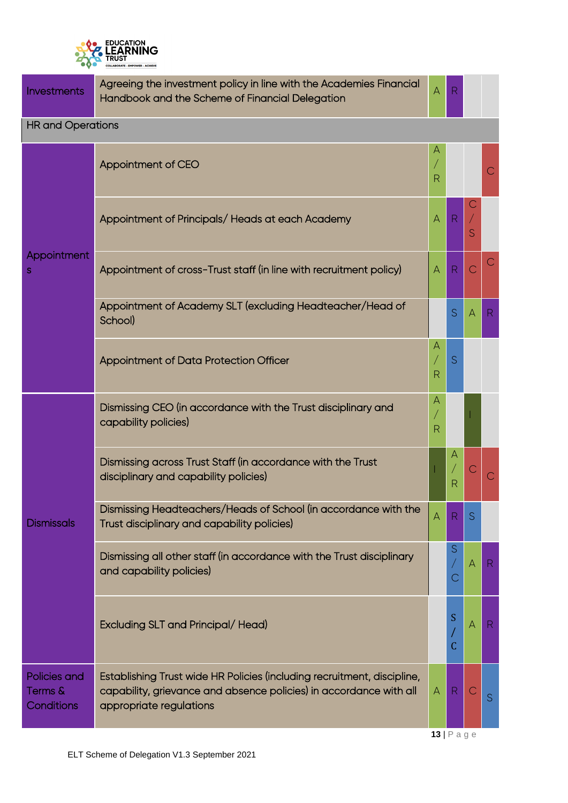

| Investments                           | Agreeing the investment policy in line with the Academies Financial<br>Handbook and the Scheme of Financial Delegation                                                   | A              | R            |                |                |  |  |  |
|---------------------------------------|--------------------------------------------------------------------------------------------------------------------------------------------------------------------------|----------------|--------------|----------------|----------------|--|--|--|
| <b>HR and Operations</b>              |                                                                                                                                                                          |                |              |                |                |  |  |  |
|                                       | Appointment of CEO                                                                                                                                                       | R              |              |                | $\mathsf{C}$   |  |  |  |
|                                       | Appointment of Principals/Heads at each Academy                                                                                                                          | $\overline{A}$ | $\mathsf{R}$ | S              |                |  |  |  |
| Appointment<br>S                      | Appointment of cross-Trust staff (in line with recruitment policy)                                                                                                       | A              | $\mathsf{R}$ | $\overline{C}$ | С              |  |  |  |
|                                       | Appointment of Academy SLT (excluding Headteacher/Head of<br>School)                                                                                                     |                | S            | A              | R              |  |  |  |
|                                       | Appointment of Data Protection Officer                                                                                                                                   | A<br>R         | S            |                |                |  |  |  |
|                                       | Dismissing CEO (in accordance with the Trust disciplinary and<br>capability policies)                                                                                    | Α<br>R         |              |                |                |  |  |  |
|                                       | Dismissing across Trust Staff (in accordance with the Trust<br>disciplinary and capability policies)                                                                     |                | А<br>R       | Ć              | $\overline{C}$ |  |  |  |
| <b>Dismissals</b>                     | Dismissing Headteachers/Heads of School (in accordance with the<br>Trust disciplinary and capability policies)                                                           | Α              | R            | S              |                |  |  |  |
|                                       | Dismissing all other staff (in accordance with the Trust disciplinary<br>and capability policies)                                                                        |                | S<br>С       | $\mathsf{A}$   | R              |  |  |  |
|                                       | Excluding SLT and Principal/Head)                                                                                                                                        |                | S<br>C       | $\forall$      | R              |  |  |  |
| Policies and<br>Terms &<br>Conditions | Establishing Trust wide HR Policies (including recruitment, discipline,<br>capability, grievance and absence policies) in accordance with all<br>appropriate regulations | $\forall$      | R            | C              | S              |  |  |  |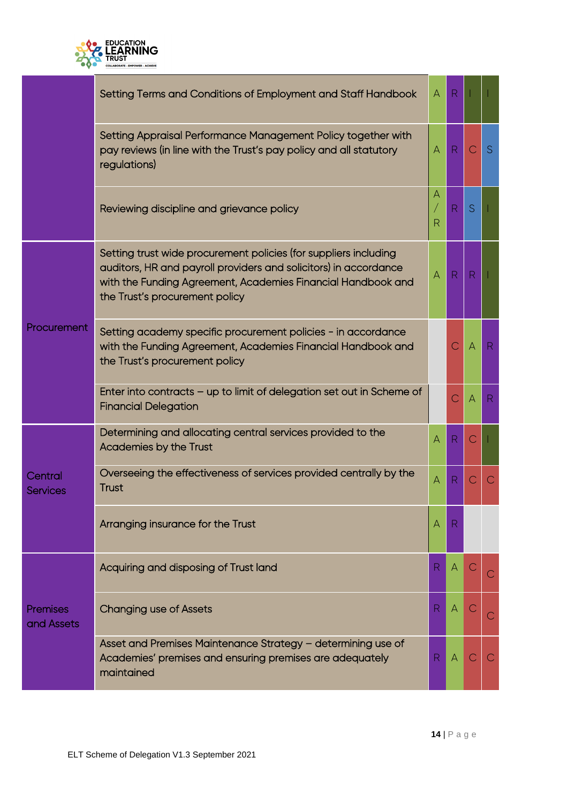

|                               | Setting Terms and Conditions of Employment and Staff Handbook                                                                                                                                                                          | $\mathsf{A}$ | $R_{\rm}$    |                |              |
|-------------------------------|----------------------------------------------------------------------------------------------------------------------------------------------------------------------------------------------------------------------------------------|--------------|--------------|----------------|--------------|
|                               | Setting Appraisal Performance Management Policy together with<br>pay reviews (in line with the Trust's pay policy and all statutory<br>regulations)                                                                                    | Α            | R            | С              | <sub>S</sub> |
|                               | Reviewing discipline and grievance policy                                                                                                                                                                                              | А<br>R       | R            | S              |              |
| Procurement                   | Setting trust wide procurement policies (for suppliers including<br>auditors, HR and payroll providers and solicitors) in accordance<br>with the Funding Agreement, Academies Financial Handbook and<br>the Trust's procurement policy | Α            | R            | $\mathsf{R}$   |              |
|                               | Setting academy specific procurement policies - in accordance<br>with the Funding Agreement, Academies Financial Handbook and<br>the Trust's procurement policy                                                                        |              |              | $\overline{A}$ | R            |
|                               | Enter into contracts - up to limit of delegation set out in Scheme of<br><b>Financial Delegation</b>                                                                                                                                   |              | Ć            | $\overline{A}$ | R            |
|                               | Determining and allocating central services provided to the<br>Academies by the Trust                                                                                                                                                  | Α            | R            | С              |              |
| Central<br><b>Services</b>    | Overseeing the effectiveness of services provided centrally by the<br>Trust                                                                                                                                                            | A            | R            | С              | С            |
|                               | Arranging insurance for the Trust                                                                                                                                                                                                      | А            |              |                |              |
|                               | Acquiring and disposing of Trust land                                                                                                                                                                                                  | R.           | $\mathsf{A}$ |                |              |
| <b>Premises</b><br>and Assets | <b>Changing use of Assets</b>                                                                                                                                                                                                          | R            | A            |                |              |
|                               | Asset and Premises Maintenance Strategy - determining use of<br>Academies' premises and ensuring premises are adequately<br>maintained                                                                                                 | R            | $\forall$    | C              | C            |